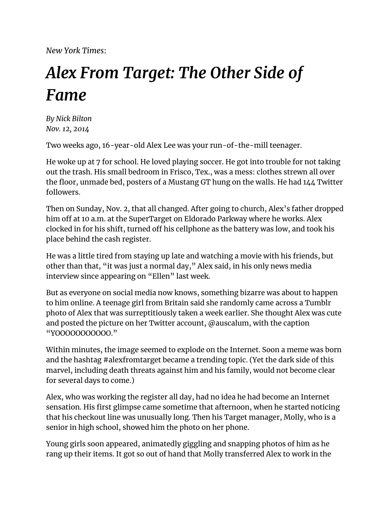*New York Times*:

## *Alex From Target: The Other Side of Fame*

*By Nick Bilton Nov. 12, 2014*

Two weeks ago, 16-year-old Alex Lee was your run-of-the-mill teenager.

He woke up at 7 for school. He loved playing soccer. He got into trouble for not taking out the trash. His small bedroom in Frisco, Tex., was a mess: clothes strewn all over the floor, unmade bed, posters of a Mustang GT hung on the walls. He had 144 Twitter followers.

Then on Sunday, Nov. 2, that all changed. After going to church, Alex's father dropped him off at 10 a.m. at the SuperTarget on Eldorado Parkway where he works. Alex clocked in for his shift, turned off his cellphone as the battery was low, and took his place behind the cash register.

He was a little tired from staying up late and watching a movie with his friends, but other than that, "it was just a normal day," Alex said, in his only news media interview since appearing on "Ellen" last week.

But as everyone on social media now knows, something bizarre was about to happen to him online. A teenage girl from Britain said she randomly came across a Tumblr photo of Alex that was surreptitiously taken a week earlier. She thought Alex was cute and posted the picture on her Twitter account, @auscalum, with the caption "YOOOOOOOOOOO."

Within minutes, the image seemed to explode on the Internet. Soon a meme was born and the hashtag #alexfromtarget became a trending topic. (Yet the dark side of this marvel, including death threats against him and his family, would not become clear for several days to come.)

Alex, who was working the register all day, had no idea he had become an Internet sensation. His first glimpse came sometime that afternoon, when he started noticing that his checkout line was unusually long. Then his Target manager, Molly, who is a senior in high school, showed him the photo on her phone.

Young girls soon appeared, animatedly giggling and snapping photos of him as he rang up their items. It got so out of hand that Molly transferred Alex to work in the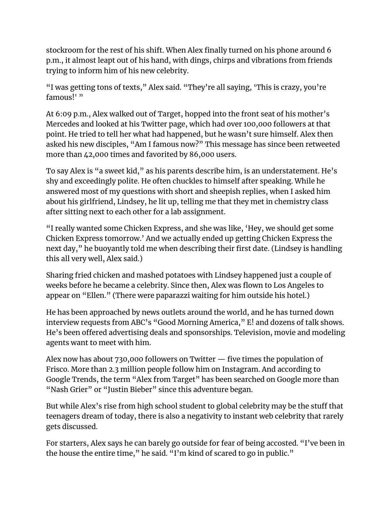stockroom for the rest of his shift. When Alex finally turned on his phone around 6 p.m., it almost leapt out of his hand, with dings, chirps and vibrations from friends trying to inform him of his new celebrity.

"I was getting tons of texts," Alex said. "They're all saying, 'This is crazy, you're famous!' "

At 6:09 p.m., Alex walked out of Target, hopped into the front seat of his mother's Mercedes and looked at his Twitter page, which had over 100,000 followers at that point. He tried to tell her what had happened, but he wasn't sure himself. Alex then asked his new disciples, "Am I famous now?" This message has since been retweeted more than 42,000 times and favorited by 86,000 users.

To say Alex is "a sweet kid," as his parents describe him, is an understatement. He's shy and exceedingly polite. He often chuckles to himself after speaking. While he answered most of my questions with short and sheepish replies, when I asked him about his girlfriend, Lindsey, he lit up, telling me that they met in chemistry class after sitting next to each other for a lab assignment.

"I really wanted some Chicken Express, and she was like, 'Hey, we should get some Chicken Express tomorrow.' And we actually ended up getting Chicken Express the next day," he buoyantly told me when describing their first date. (Lindsey is handling this all very well, Alex said.)

Sharing fried chicken and mashed potatoes with Lindsey happened just a couple of weeks before he became a celebrity. Since then, Alex was flown to Los Angeles to appear on "Ellen." (There were paparazzi waiting for him outside his hotel.)

He has been approached by news outlets around the world, and he has turned down interview requests from ABC's "Good Morning America," E! and dozens of talk shows. He's been offered advertising deals and sponsorships. Television, movie and modeling agents want to meet with him.

Alex now has about 730,000 followers on Twitter — five times the population of Frisco. More than 2.3 million people follow him on Instagram. And according to Google Trends, the term "Alex from Target" has been searched on Google more than "Nash Grier" or "Justin Bieber" since this adventure began.

But while Alex's rise from high school student to global celebrity may be the stuff that teenagers dream of today, there is also a negativity to instant web celebrity that rarely gets discussed.

For starters, Alex says he can barely go outside for fear of being accosted. "I've been in the house the entire time," he said. "I'm kind of scared to go in public."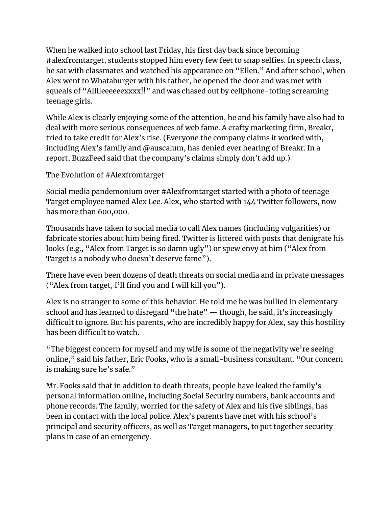When he walked into school last Friday, his first day back since becoming #alexfromtarget, students stopped him every few feet to snap selfies. In speech class, he sat with classmates and watched his appearance on "Ellen." And after school, when Alex went to Whataburger with his father, he opened the door and was met with squeals of "Alllleeeeeexxxx!!" and was chased out by cellphone-toting screaming teenage girls.

While Alex is clearly enjoying some of the attention, he and his family have also had to deal with more serious consequences of web fame. A crafty marketing firm, Breakr, tried to take credit for Alex's rise. (Everyone the company claims it worked with, including Alex's family and @auscalum, has denied ever hearing of Breakr. In a report, BuzzFeed said that the company's claims simply don't add up.)

The Evolution of #Alexfromtarget

Social media pandemonium over #Alexfromtarget started with a photo of teenage Target employee named Alex Lee. Alex, who started with 144 Twitter followers, now has more than 600,000.

Thousands have taken to social media to call Alex names (including vulgarities) or fabricate stories about him being fired. Twitter is littered with posts that denigrate his looks (e.g., "Alex from Target is so damn ugly") or spew envy at him ("Alex from Target is a nobody who doesn't deserve fame").

There have even been dozens of death threats on social media and in private messages ("Alex from target, I'll find you and I will kill you").

Alex is no stranger to some of this behavior. He told me he was bullied in elementary school and has learned to disregard "the hate" — though, he said, it's increasingly difficult to ignore. But his parents, who are incredibly happy for Alex, say this hostility has been difficult to watch.

"The biggest concern for myself and my wife is some of the negativity we're seeing online," said his father, Eric Fooks, who is a small-business consultant. "Our concern is making sure he's safe."

Mr. Fooks said that in addition to death threats, people have leaked the family's personal information online, including Social Security numbers, bank accounts and phone records. The family, worried for the safety of Alex and his five siblings, has been in contact with the local police. Alex's parents have met with his school's principal and security officers, as well as Target managers, to put together security plans in case of an emergency.